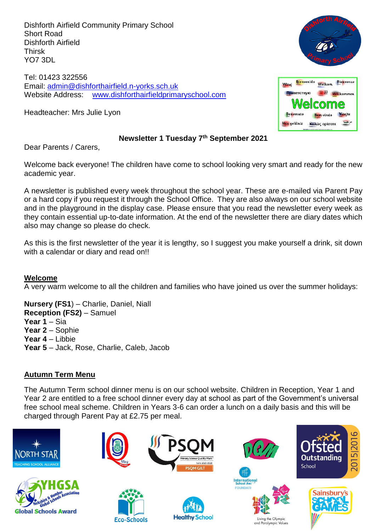Dishforth Airfield Community Primary School Short Road Dishforth Airfield Thirsk YO7 3DL

Tel: 01423 322556 Email: [admin@dishforthairfield.n-yorks.sch.uk](mailto:admin@dishforthairfield.n-yorks.sch.uk) Website Address: [www.dishforthairfieldprimaryschool.com](http://www.dishforthairfieldprimaryschool.com/)

Headteacher: Mrs Julie Lyon





### **Newsletter 1 Tuesday 7 th September 2021**

Dear Parents / Carers,

Welcome back everyone! The children have come to school looking very smart and ready for the new academic year.

A newsletter is published every week throughout the school year. These are e-mailed via Parent Pay or a hard copy if you request it through the School Office. They are also always on our school website and in the playground in the display case. Please ensure that you read the newsletter every week as they contain essential up-to-date information. At the end of the newsletter there are diary dates which also may change so please do check.

As this is the first newsletter of the year it is lengthy, so I suggest you make yourself a drink, sit down with a calendar or diary and read on!!

#### **Welcome**

A very warm welcome to all the children and families who have joined us over the summer holidays:

**Nursery (FS1**) – Charlie, Daniel, Niall **Reception (FS2)** – Samuel **Year 1** – Sia **Year 2** – Sophie **Year 4** – Libbie **Year 5** – Jack, Rose, Charlie, Caleb, Jacob

## **Autumn Term Menu**

The Autumn Term school dinner menu is on our school website. Children in Reception, Year 1 and Year 2 are entitled to a free school dinner every day at school as part of the Government's universal free school meal scheme. Children in Years 3-6 can order a lunch on a daily basis and this will be charged through Parent Pay at £2.75 per meal.

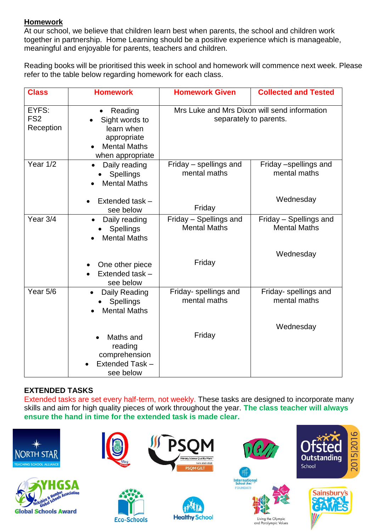# **Homework**

At our school, we believe that children learn best when parents, the school and children work together in partnership. Home Learning should be a positive experience which is manageable, meaningful and enjoyable for parents, teachers and children.

Reading books will be prioritised this week in school and homework will commence next week. Please refer to the table below regarding homework for each class.

| <b>Class</b>                          | <b>Homework</b>                                                                                                | <b>Homework Given</b>                                                  | <b>Collected and Tested</b>                        |  |
|---------------------------------------|----------------------------------------------------------------------------------------------------------------|------------------------------------------------------------------------|----------------------------------------------------|--|
| EYFS:<br>FS <sub>2</sub><br>Reception | Reading<br>$\bullet$<br>Sight words to<br>learn when<br>appropriate<br><b>Mental Maths</b><br>when appropriate | Mrs Luke and Mrs Dixon will send information<br>separately to parents. |                                                    |  |
| Year $1/\overline{2}$                 | Daily reading<br><b>Spellings</b><br><b>Mental Maths</b><br>Extended task -<br>see below                       | Friday - spellings and<br>mental maths<br>Friday                       | Friday -spellings and<br>mental maths<br>Wednesday |  |
| Year 3/4                              | Daily reading<br>Spellings<br><b>Mental Maths</b>                                                              | Friday - Spellings and<br><b>Mental Maths</b>                          | Friday - Spellings and<br><b>Mental Maths</b>      |  |
|                                       | One other piece<br>Extended task -<br>see below                                                                | Friday                                                                 | Wednesday                                          |  |
| Year 5/6                              | Daily Reading<br><b>Spellings</b><br><b>Mental Maths</b>                                                       | Friday-spellings and<br>mental maths                                   | Friday- spellings and<br>mental maths              |  |
|                                       | Maths and<br>reading<br>comprehension<br>Extended Task -<br>see below                                          | Friday                                                                 | Wednesday                                          |  |

## **EXTENDED TASKS**

Extended tasks are set every half-term, not weekly. These tasks are designed to incorporate many skills and aim for high quality pieces of work throughout the year. **The class teacher will always ensure the hand in time for the extended task is made clear.**

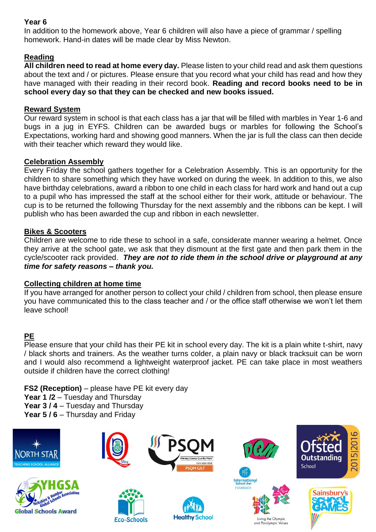# **Year 6**

In addition to the homework above, Year 6 children will also have a piece of grammar / spelling homework. Hand-in dates will be made clear by Miss Newton.

## **Reading**

**All children need to read at home every day.** Please listen to your child read and ask them questions about the text and / or pictures. Please ensure that you record what your child has read and how they have managed with their reading in their record book. **Reading and record books need to be in school every day so that they can be checked and new books issued.**

### **Reward System**

Our reward system in school is that each class has a jar that will be filled with marbles in Year 1-6 and bugs in a jug in EYFS. Children can be awarded bugs or marbles for following the School's Expectations, working hard and showing good manners. When the jar is full the class can then decide with their teacher which reward they would like.

### **Celebration Assembly**

Every Friday the school gathers together for a Celebration Assembly. This is an opportunity for the children to share something which they have worked on during the week. In addition to this, we also have birthday celebrations, award a ribbon to one child in each class for hard work and hand out a cup to a pupil who has impressed the staff at the school either for their work, attitude or behaviour. The cup is to be returned the following Thursday for the next assembly and the ribbons can be kept. I will publish who has been awarded the cup and ribbon in each newsletter.

### **Bikes & Scooters**

Children are welcome to ride these to school in a safe, considerate manner wearing a helmet. Once they arrive at the school gate, we ask that they dismount at the first gate and then park them in the cycle/scooter rack provided. *They are not to ride them in the school drive or playground at any time for safety reasons – thank you.*

#### **Collecting children at home time**

If you have arranged for another person to collect your child / children from school, then please ensure you have communicated this to the class teacher and / or the office staff otherwise we won't let them leave school!

## **PE**

Please ensure that your child has their PE kit in school every day. The kit is a plain white t-shirt, navy / black shorts and trainers. As the weather turns colder, a plain navy or black tracksuit can be worn and I would also recommend a lightweight waterproof jacket. PE can take place in most weathers outside if children have the correct clothing!

**FS2 (Reception)** – please have PE kit every day

Year 1 /2 – Tuesday and Thursday

**Year 3 / 4** – Tuesday and Thursday

Year 5 / 6 – Thursday and Friday

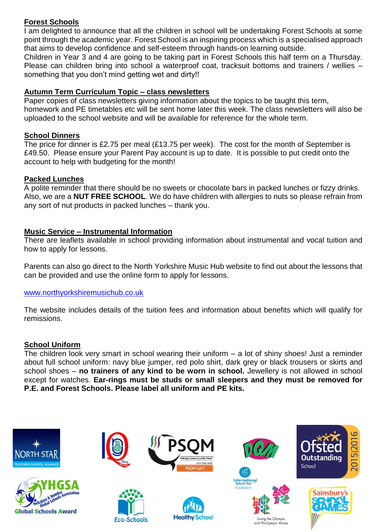# **Forest Schools**

I am delighted to announce that all the children in school will be undertaking Forest Schools at some point through the academic year. Forest School is an inspiring process which is a specialised approach that aims to develop confidence and self-esteem through hands-on learning outside.

Children in Year 3 and 4 are going to be taking part in Forest Schools this half term on a Thursday. Please can children bring into school a waterproof coat, tracksuit bottoms and trainers / wellies – something that you don't mind getting wet and dirty!!

## **Autumn Term Curriculum Topic – class newsletters**

Paper copies of class newsletters giving information about the topics to be taught this term, homework and PE timetables etc will be sent home later this week. The class newsletters will also be uploaded to the school website and will be available for reference for the whole term.

## **School Dinners**

The price for dinner is £2.75 per meal (£13.75 per week). The cost for the month of September is £49.50. Please ensure your Parent Pay account is up to date. It is possible to put credit onto the account to help with budgeting for the month!

### **Packed Lunches**

A polite reminder that there should be no sweets or chocolate bars in packed lunches or fizzy drinks. Also, we are a **NUT FREE SCHOOL**. We do have children with allergies to nuts so please refrain from any sort of nut products in packed lunches – thank you.

### **Music Service – Instrumental Information**

There are leaflets available in school providing information about instrumental and vocal tuition and how to apply for lessons.

Parents can also go direct to the North Yorkshire Music Hub website to find out about the lessons that can be provided and use the online form to apply for lessons.

#### [www.northyorkshiremusichub.co.uk](http://www.northyorkshiremusichub.co.uk/)

The website includes details of the tuition fees and information about benefits which will qualify for remissions.

#### **School Uniform**

The children look very smart in school wearing their uniform  $-$  a lot of shiny shoes! Just a reminder about full school uniform: navy blue jumper, red polo shirt, dark grey or black trousers or skirts and school shoes – **no trainers of any kind to be worn in school.** Jewellery is not allowed in school except for watches. **Ear-rings must be studs or small sleepers and they must be removed for P.E. and Forest Schools. Please label all uniform and PE kits.**

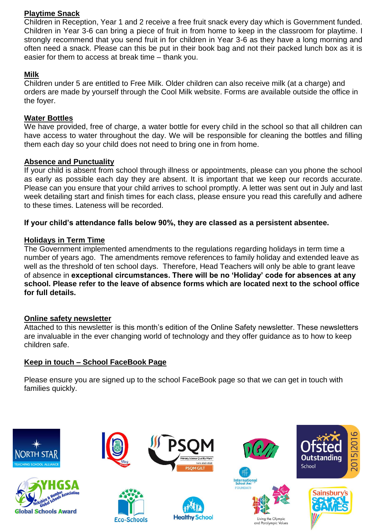# **Playtime Snack**

Children in Reception, Year 1 and 2 receive a free fruit snack every day which is Government funded. Children in Year 3-6 can bring a piece of fruit in from home to keep in the classroom for playtime. I strongly recommend that you send fruit in for children in Year 3-6 as they have a long morning and often need a snack. Please can this be put in their book bag and not their packed lunch box as it is easier for them to access at break time – thank you.

## **Milk**

Children under 5 are entitled to Free Milk. Older children can also receive milk (at a charge) and orders are made by yourself through the Cool Milk website. Forms are available outside the office in the foyer.

## **Water Bottles**

We have provided, free of charge, a water bottle for every child in the school so that all children can have access to water throughout the day. We will be responsible for cleaning the bottles and filling them each day so your child does not need to bring one in from home.

### **Absence and Punctuality**

If your child is absent from school through illness or appointments, please can you phone the school as early as possible each day they are absent. It is important that we keep our records accurate. Please can you ensure that your child arrives to school promptly. A letter was sent out in July and last week detailing start and finish times for each class, please ensure you read this carefully and adhere to these times. Lateness will be recorded.

### **If your child's attendance falls below 90%, they are classed as a persistent absentee.**

## **Holidays in Term Time**

The Government implemented amendments to the regulations regarding holidays in term time a number of years ago. The amendments remove references to family holiday and extended leave as well as the threshold of ten school days. Therefore, Head Teachers will only be able to grant leave of absence in **exceptional circumstances. There will be no 'Holiday' code for absences at any school. Please refer to the leave of absence forms which are located next to the school office for full details.**

## **Online safety newsletter**

Attached to this newsletter is this month's edition of the Online Safety newsletter. These newsletters are invaluable in the ever changing world of technology and they offer guidance as to how to keep children safe.

## **Keep in touch – School FaceBook Page**

Please ensure you are signed up to the school FaceBook page so that we can get in touch with families quickly.